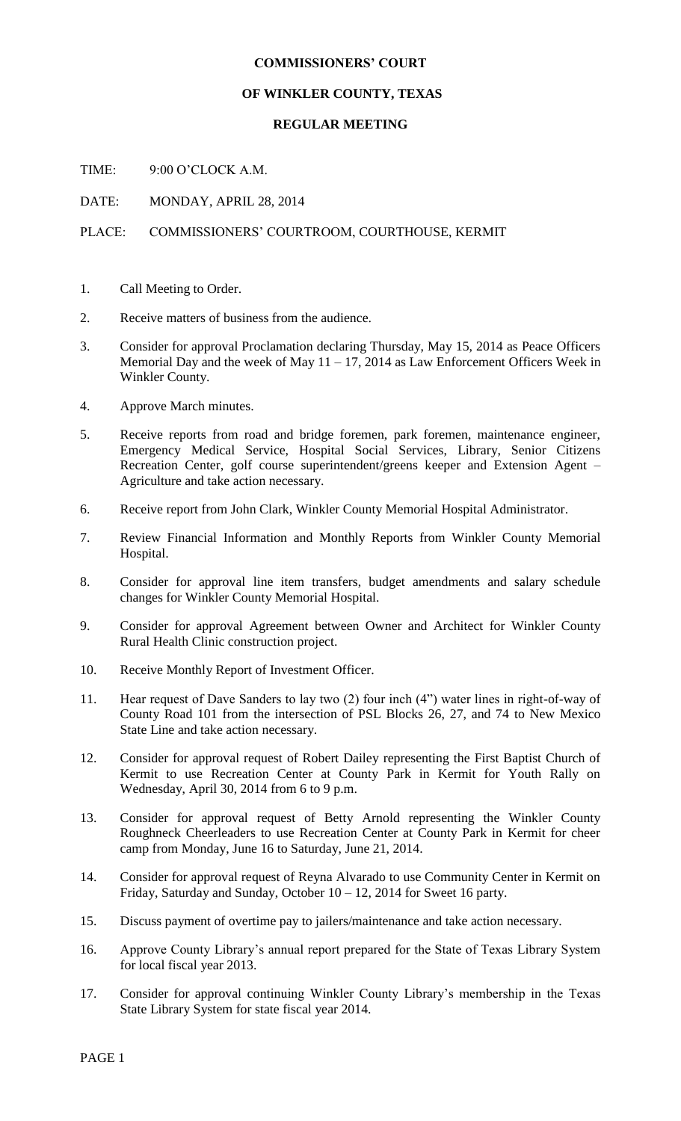## **COMMISSIONERS' COURT**

## **OF WINKLER COUNTY, TEXAS**

## **REGULAR MEETING**

TIME: 9:00 O'CLOCK A.M.

DATE: MONDAY, APRIL 28, 2014

## PLACE: COMMISSIONERS' COURTROOM, COURTHOUSE, KERMIT

- 1. Call Meeting to Order.
- 2. Receive matters of business from the audience.
- 3. Consider for approval Proclamation declaring Thursday, May 15, 2014 as Peace Officers Memorial Day and the week of May  $11 - 17$ , 2014 as Law Enforcement Officers Week in Winkler County.
- 4. Approve March minutes.
- 5. Receive reports from road and bridge foremen, park foremen, maintenance engineer, Emergency Medical Service, Hospital Social Services, Library, Senior Citizens Recreation Center, golf course superintendent/greens keeper and Extension Agent – Agriculture and take action necessary.
- 6. Receive report from John Clark, Winkler County Memorial Hospital Administrator.
- 7. Review Financial Information and Monthly Reports from Winkler County Memorial Hospital.
- 8. Consider for approval line item transfers, budget amendments and salary schedule changes for Winkler County Memorial Hospital.
- 9. Consider for approval Agreement between Owner and Architect for Winkler County Rural Health Clinic construction project.
- 10. Receive Monthly Report of Investment Officer.
- 11. Hear request of Dave Sanders to lay two (2) four inch (4") water lines in right-of-way of County Road 101 from the intersection of PSL Blocks 26, 27, and 74 to New Mexico State Line and take action necessary.
- 12. Consider for approval request of Robert Dailey representing the First Baptist Church of Kermit to use Recreation Center at County Park in Kermit for Youth Rally on Wednesday, April 30, 2014 from 6 to 9 p.m.
- 13. Consider for approval request of Betty Arnold representing the Winkler County Roughneck Cheerleaders to use Recreation Center at County Park in Kermit for cheer camp from Monday, June 16 to Saturday, June 21, 2014.
- 14. Consider for approval request of Reyna Alvarado to use Community Center in Kermit on Friday, Saturday and Sunday, October  $10 - 12$ , 2014 for Sweet 16 party.
- 15. Discuss payment of overtime pay to jailers/maintenance and take action necessary.
- 16. Approve County Library's annual report prepared for the State of Texas Library System for local fiscal year 2013.
- 17. Consider for approval continuing Winkler County Library's membership in the Texas State Library System for state fiscal year 2014.

PAGE 1